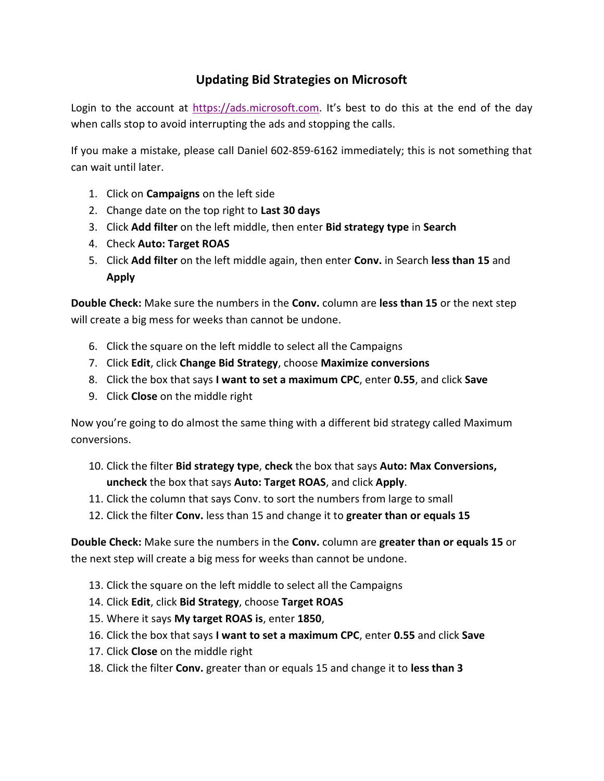## Updating Bid Strategies on Microsoft

Login to the account at https://ads.microsoft.com. It's best to do this at the end of the day when calls stop to avoid interrupting the ads and stopping the calls.

If you make a mistake, please call Daniel 602-859-6162 immediately; this is not something that can wait until later.

- 1. Click on Campaigns on the left side
- 2. Change date on the top right to Last 30 days
- 3. Click Add filter on the left middle, then enter Bid strategy type in Search
- 4. Check Auto: Target ROAS
- 5. Click Add filter on the left middle again, then enter Conv. in Search less than 15 and Apply

Double Check: Make sure the numbers in the Conv. column are less than 15 or the next step will create a big mess for weeks than cannot be undone.

- 6. Click the square on the left middle to select all the Campaigns
- 7. Click Edit, click Change Bid Strategy, choose Maximize conversions
- 8. Click the box that says I want to set a maximum CPC, enter 0.55, and click Save
- 9. Click Close on the middle right

Now you're going to do almost the same thing with a different bid strategy called Maximum conversions.

- 10. Click the filter Bid strategy type, check the box that says Auto: Max Conversions, uncheck the box that says Auto: Target ROAS, and click Apply.
- 11. Click the column that says Conv. to sort the numbers from large to small
- 12. Click the filter Conv. less than 15 and change it to greater than or equals 15

Double Check: Make sure the numbers in the Conv. column are greater than or equals 15 or the next step will create a big mess for weeks than cannot be undone.

- 13. Click the square on the left middle to select all the Campaigns
- 14. Click Edit, click Bid Strategy, choose Target ROAS
- 15. Where it says My target ROAS is, enter 1850,
- 16. Click the box that says I want to set a maximum CPC, enter 0.55 and click Save
- 17. Click Close on the middle right
- 18. Click the filter Conv. greater than or equals 15 and change it to less than 3